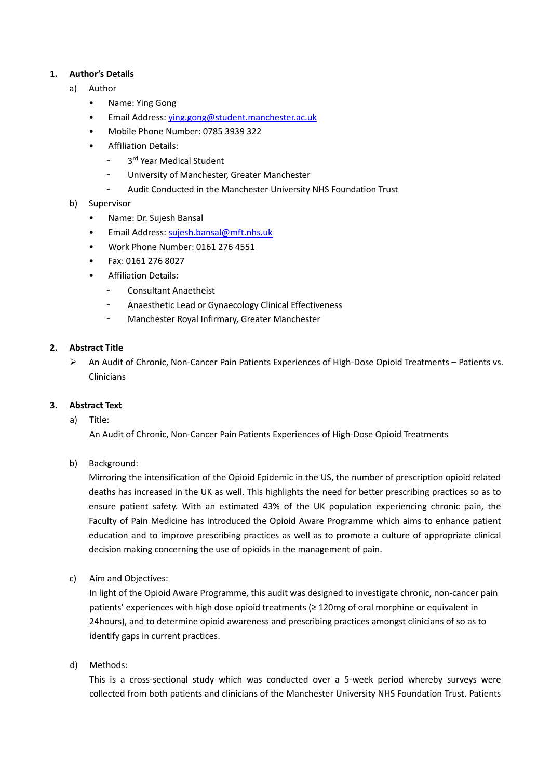# **1. Author's Details**

- a) Author
	- Name: Ying Gong
	- Email Address: [ying.gong@student.manchester.ac.uk](mailto:ying.gong@student.manchester.ac.uk)
	- Mobile Phone Number: 0785 3939 322
	- Affiliation Details:
		- 3<sup>rd</sup> Year Medical Student
		- University of Manchester, Greater Manchester
		- Audit Conducted in the Manchester University NHS Foundation Trust
- b) Supervisor
	- Name: Dr. Sujesh Bansal
	- Email Address: [sujesh.bansal@mft.nhs.uk](mailto:sujesh.bansal@mft.nhs.uk)
	- Work Phone Number: 0161 276 4551
	- Fax: 0161 276 8027
	- Affiliation Details:
		- Consultant Anaetheist
		- Anaesthetic Lead or Gynaecology Clinical Effectiveness
		- Manchester Royal Infirmary, Greater Manchester

# **2. Abstract Title**

➢ An Audit of Chronic, Non-Cancer Pain Patients Experiences of High-Dose Opioid Treatments – Patients vs. Clinicians

### **3. Abstract Text**

a) Title:

An Audit of Chronic, Non-Cancer Pain Patients Experiences of High-Dose Opioid Treatments

b) Background:

Mirroring the intensification of the Opioid Epidemic in the US, the number of prescription opioid related deaths has increased in the UK as well. This highlights the need for better prescribing practices so as to ensure patient safety. With an estimated 43% of the UK population experiencing chronic pain, the Faculty of Pain Medicine has introduced the Opioid Aware Programme which aims to enhance patient education and to improve prescribing practices as well as to promote a culture of appropriate clinical decision making concerning the use of opioids in the management of pain.

c) Aim and Objectives:

In light of the Opioid Aware Programme, this audit was designed to investigate chronic, non-cancer pain patients' experiences with high dose opioid treatments (≥ 120mg of oral morphine or equivalent in 24hours), and to determine opioid awareness and prescribing practices amongst clinicians of so as to identify gaps in current practices.

d) Methods:

This is a cross-sectional study which was conducted over a 5-week period whereby surveys were collected from both patients and clinicians of the Manchester University NHS Foundation Trust. Patients